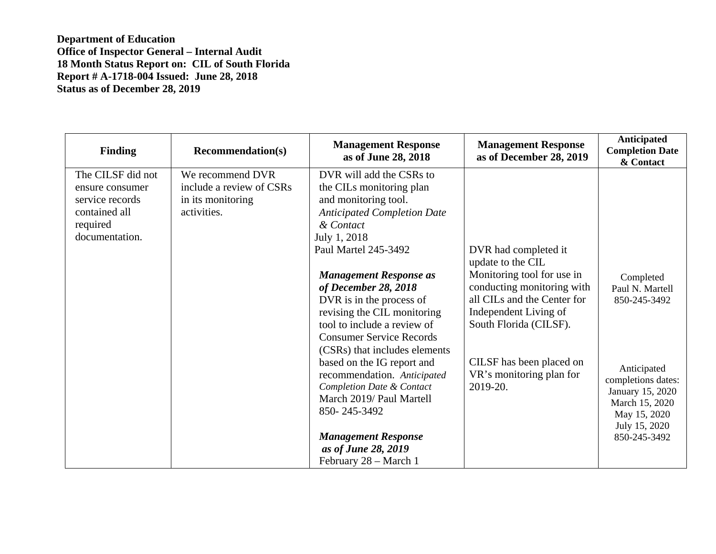| <b>Finding</b>                                                                                         | <b>Recommendation(s)</b>                                                         | <b>Management Response</b><br>as of June 28, 2018                                                                                                                                                                   | <b>Management Response</b><br>as of December 28, 2019                                                                                      | <b>Anticipated</b><br><b>Completion Date</b><br>& Contact                                                                |
|--------------------------------------------------------------------------------------------------------|----------------------------------------------------------------------------------|---------------------------------------------------------------------------------------------------------------------------------------------------------------------------------------------------------------------|--------------------------------------------------------------------------------------------------------------------------------------------|--------------------------------------------------------------------------------------------------------------------------|
| The CILSF did not<br>ensure consumer<br>service records<br>contained all<br>required<br>documentation. | We recommend DVR<br>include a review of CSRs<br>in its monitoring<br>activities. | DVR will add the CSRs to<br>the CILs monitoring plan<br>and monitoring tool.<br><b>Anticipated Completion Date</b><br>& Contact<br>July 1, 2018<br>Paul Martel 245-3492                                             | DVR had completed it<br>update to the CIL                                                                                                  |                                                                                                                          |
|                                                                                                        |                                                                                  | <b>Management Response as</b><br>of December 28, 2018<br>DVR is in the process of<br>revising the CIL monitoring<br>tool to include a review of<br><b>Consumer Service Records</b><br>(CSRs) that includes elements | Monitoring tool for use in<br>conducting monitoring with<br>all CILs and the Center for<br>Independent Living of<br>South Florida (CILSF). | Completed<br>Paul N. Martell<br>850-245-3492                                                                             |
|                                                                                                        |                                                                                  | based on the IG report and<br>recommendation. Anticipated<br>Completion Date & Contact<br>March 2019/ Paul Martell<br>850-245-3492<br><b>Management Response</b>                                                    | CILSF has been placed on<br>VR's monitoring plan for<br>2019-20.                                                                           | Anticipated<br>completions dates:<br>January 15, 2020<br>March 15, 2020<br>May 15, 2020<br>July 15, 2020<br>850-245-3492 |
|                                                                                                        |                                                                                  | as of June 28, 2019<br>February 28 - March 1                                                                                                                                                                        |                                                                                                                                            |                                                                                                                          |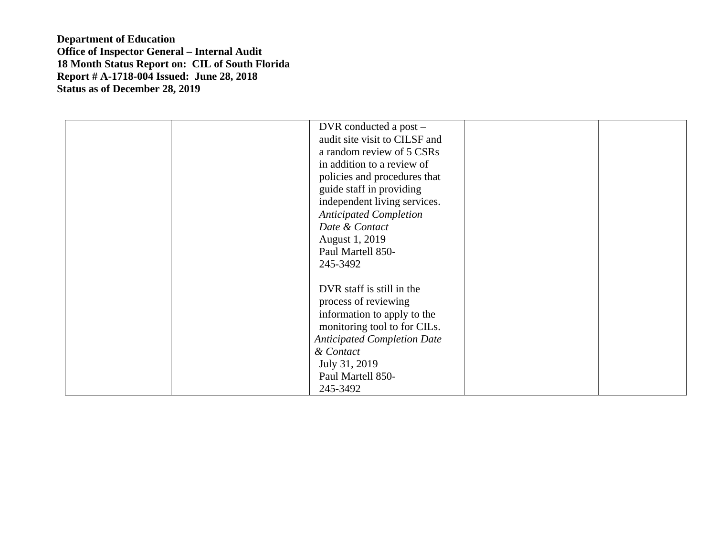| DVR conducted a post -             |  |
|------------------------------------|--|
| audit site visit to CILSF and      |  |
| a random review of 5 CSRs          |  |
| in addition to a review of         |  |
| policies and procedures that       |  |
| guide staff in providing           |  |
| independent living services.       |  |
| <b>Anticipated Completion</b>      |  |
| Date & Contact                     |  |
| August 1, 2019                     |  |
| Paul Martell 850-                  |  |
| 245-3492                           |  |
|                                    |  |
| DVR staff is still in the          |  |
| process of reviewing               |  |
| information to apply to the        |  |
| monitoring tool to for CILs.       |  |
| <b>Anticipated Completion Date</b> |  |
| & Contact                          |  |
| July 31, 2019                      |  |
| Paul Martell 850-                  |  |
| 245-3492                           |  |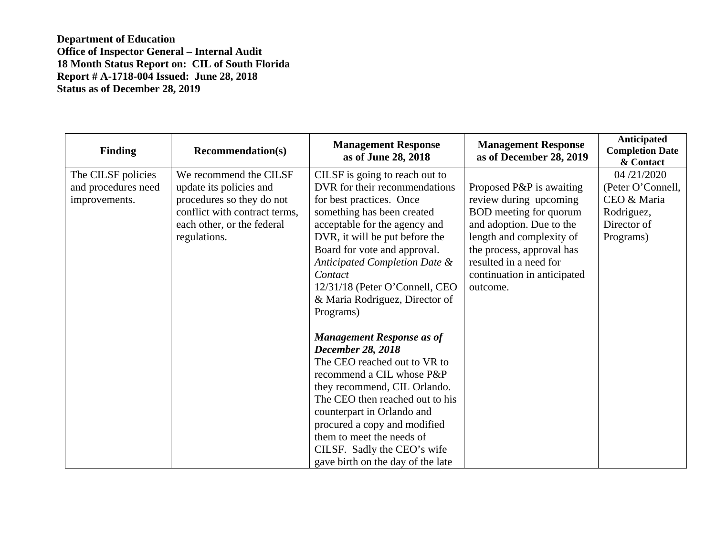| <b>Finding</b>                                             | <b>Recommendation(s)</b>                                                                                                                                      | <b>Management Response</b><br>as of June 28, 2018                                                                                                                                                                                                                                                                                                                                                                                                                                                                                                                                                                       | <b>Management Response</b><br>as of December 28, 2019                                                                                                                                                                                  | Anticipated<br><b>Completion Date</b><br>& Contact                                       |
|------------------------------------------------------------|---------------------------------------------------------------------------------------------------------------------------------------------------------------|-------------------------------------------------------------------------------------------------------------------------------------------------------------------------------------------------------------------------------------------------------------------------------------------------------------------------------------------------------------------------------------------------------------------------------------------------------------------------------------------------------------------------------------------------------------------------------------------------------------------------|----------------------------------------------------------------------------------------------------------------------------------------------------------------------------------------------------------------------------------------|------------------------------------------------------------------------------------------|
| The CILSF policies<br>and procedures need<br>improvements. | We recommend the CILSF<br>update its policies and<br>procedures so they do not<br>conflict with contract terms,<br>each other, or the federal<br>regulations. | CILSF is going to reach out to<br>DVR for their recommendations<br>for best practices. Once<br>something has been created<br>acceptable for the agency and<br>DVR, it will be put before the<br>Board for vote and approval.<br>Anticipated Completion Date &<br>Contact<br>12/31/18 (Peter O'Connell, CEO<br>& Maria Rodriguez, Director of<br>Programs)<br><b>Management Response as of</b><br><b>December 28, 2018</b><br>The CEO reached out to VR to<br>recommend a CIL whose P&P<br>they recommend, CIL Orlando.<br>The CEO then reached out to his<br>counterpart in Orlando and<br>procured a copy and modified | Proposed P&P is awaiting<br>review during upcoming<br>BOD meeting for quorum<br>and adoption. Due to the<br>length and complexity of<br>the process, approval has<br>resulted in a need for<br>continuation in anticipated<br>outcome. | 04/21/2020<br>(Peter O'Connell,<br>CEO & Maria<br>Rodriguez,<br>Director of<br>Programs) |
|                                                            |                                                                                                                                                               | them to meet the needs of<br>CILSF. Sadly the CEO's wife<br>gave birth on the day of the late                                                                                                                                                                                                                                                                                                                                                                                                                                                                                                                           |                                                                                                                                                                                                                                        |                                                                                          |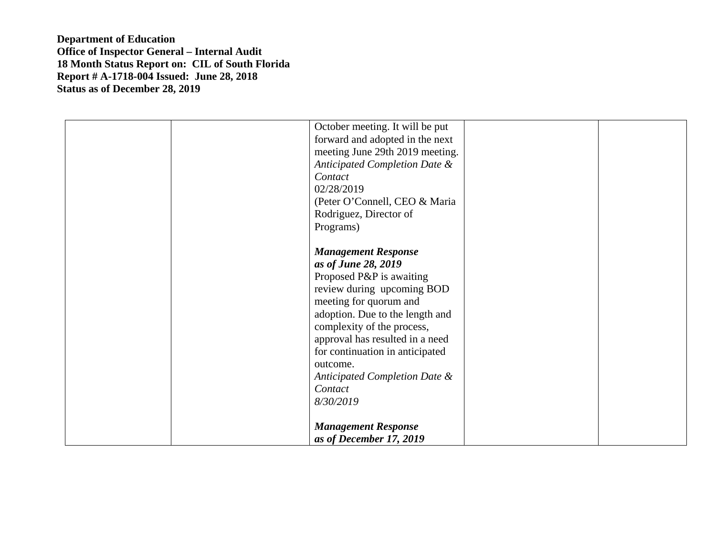| October meeting. It will be put<br>forward and adopted in the next<br>meeting June 29th 2019 meeting.<br>Anticipated Completion Date &<br>Contact<br>02/28/2019<br>(Peter O'Connell, CEO & Maria<br>Rodriguez, Director of                                                                                                             |
|----------------------------------------------------------------------------------------------------------------------------------------------------------------------------------------------------------------------------------------------------------------------------------------------------------------------------------------|
| Programs)<br><b>Management Response</b><br>as of June 28, 2019<br>Proposed P&P is awaiting<br>review during upcoming BOD<br>meeting for quorum and<br>adoption. Due to the length and<br>complexity of the process,<br>approval has resulted in a need<br>for continuation in anticipated<br>outcome.<br>Anticipated Completion Date & |
| Contact<br>8/30/2019<br><b>Management Response</b><br>as of December 17, 2019                                                                                                                                                                                                                                                          |